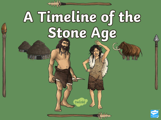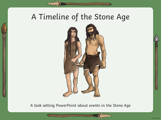# A Timeline of the Stone Age



A task setting PowerPoint about events in the Stone Age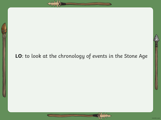## **LO**: to look at the chronology of events in the Stone Age

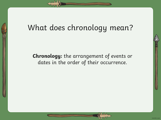# What does chronology mean?

**Chronology:** the arrangement of events or dates in the order of their occurrence.

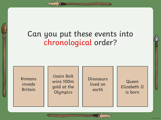# Can you put these events into chronological order?

Romans invade Britain

Usain Bolt wins 100m gold at the **Olympics** 

Dinosaurs lived on earth

Queen Elizabeth II is born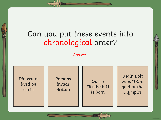# Can you put these events into chronological order?

Answer

Dinosaurs lived on earth

Romans invade Britain

Queen Elizabeth II is born

Usain Bolt wins 100m gold at the **Olympics**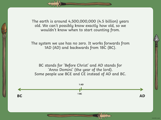The earth is around 4,500,000,000 (4.5 billion) years old. We can't possibly know exactly how old, so we wouldn't know when to start counting from.

The system we use has no zero. It works forwards from 1AD (AD) and backwards from 1BC (BC).

BC stands for 'Before Christ' and AD stands for 'Anno Domini' (the year of the lord). Some people use BCE and CE instead of AD and BC.

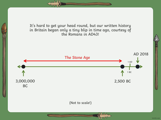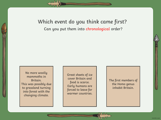Which event do you think came first? Can you put them into chronological order?

No more woolly mammoths in Britain. This was possibly due to grassland turning into forest with the changing climate.

Great sheets of ice cover Britain and food is scarce. Early humans are forced to leave for warmer countries.

The first members of the Homo genus inhabit Britain.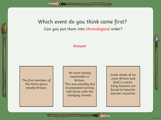### Which event do you think came first? Can you put them into chronological order?

### Answer

The first members of the Homo genus inhabit Britain.

No more woolly mammoths in Britain. This was possibly due to grassland turning into forest with the changing climate.

Great sheets of ice cover Britain and food is scarce. Early humans are forced to leave for warmer countries.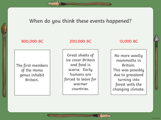### When do you think these events happened?

### 800,000 BC 200,000 BC 12,000 BC

The first members of the Homo genus inhabit Britain.

Great sheets of ice cover Britain and food is scarce. Early humans are forced to leave for warmer countries.

No more woolly mammoths in Britain. This was possibly due to grassland turning into forest with the changing climate.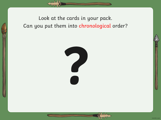## Look at the cards in your pack. Can you put them into chronological order?